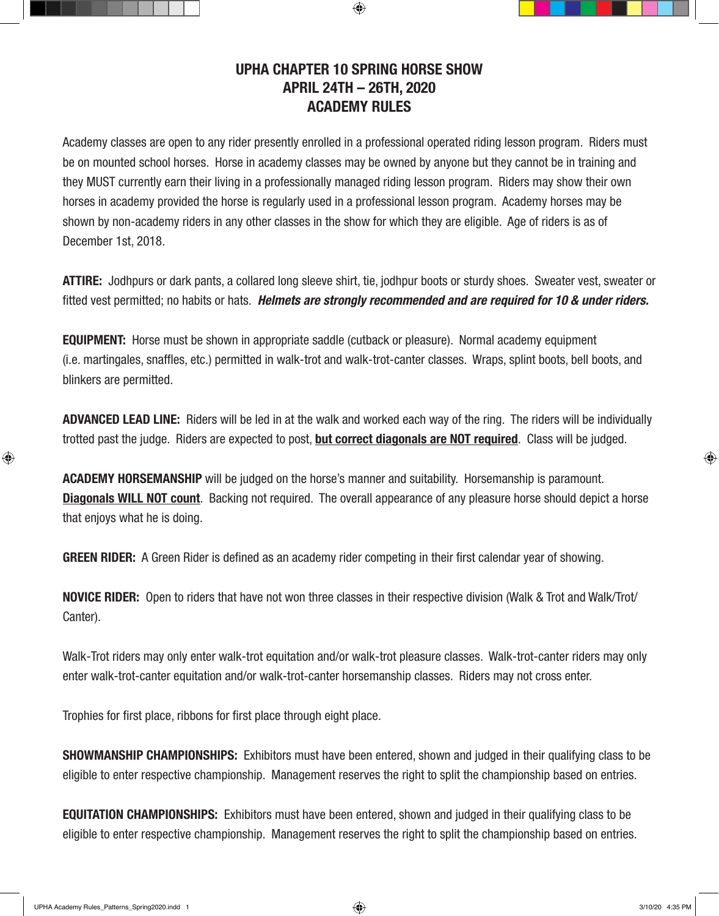## **UPHA CHAPTER 10 SPRING HORSE SHOW APRIL 24TH – 26TH, 2020 ACADEMY RULES**

 $\textcircled{\scriptsize{+}}$ 

Academy classes are open to any rider presently enrolled in a professional operated riding lesson program. Riders must be on mounted school horses. Horse in academy classes may be owned by anyone but they cannot be in training and they MUST currently earn their living in a professionally managed riding lesson program. Riders may show their own horses in academy provided the horse is regularly used in a professional lesson program. Academy horses may be shown by non-academy riders in any other classes in the show for which they are eligible. Age of riders is as of December 1st, 2018.

**ATTIRE:** Jodhpurs or dark pants, a collared long sleeve shirt, tie, jodhpur boots or sturdy shoes. Sweater vest, sweater or fitted vest permitted; no habits or hats. *Helmets are strongly recommended and are required for 10 & under riders.*

**EQUIPMENT:** Horse must be shown in appropriate saddle (cutback or pleasure). Normal academy equipment (i.e. martingales, snaffles, etc.) permitted in walk-trot and walk-trot-canter classes. Wraps, splint boots, bell boots, and blinkers are permitted.

**ADVANCED LEAD LINE:** Riders will be led in at the walk and worked each way of the ring. The riders will be individually trotted past the judge. Riders are expected to post, **but correct diagonals are NOT required**. Class will be judged.

**ACADEMY HORSEMANSHIP** will be judged on the horse's manner and suitability. Horsemanship is paramount. **Diagonals WILL NOT count**. Backing not required. The overall appearance of any pleasure horse should depict a horse that enjoys what he is doing.

**GREEN RIDER:** A Green Rider is defined as an academy rider competing in their first calendar year of showing.

**NOVICE RIDER:** Open to riders that have not won three classes in their respective division (Walk & Trot and Walk/Trot/ Canter).

Walk-Trot riders may only enter walk-trot equitation and/or walk-trot pleasure classes. Walk-trot-canter riders may only enter walk-trot-canter equitation and/or walk-trot-canter horsemanship classes. Riders may not cross enter.

Trophies for first place, ribbons for first place through eight place.

**SHOWMANSHIP CHAMPIONSHIPS:** Exhibitors must have been entered, shown and judged in their qualifying class to be eligible to enter respective championship. Management reserves the right to split the championship based on entries.

**EQUITATION CHAMPIONSHIPS:** Exhibitors must have been entered, shown and judged in their qualifying class to be eligible to enter respective championship. Management reserves the right to split the championship based on entries.

⊕

⊕